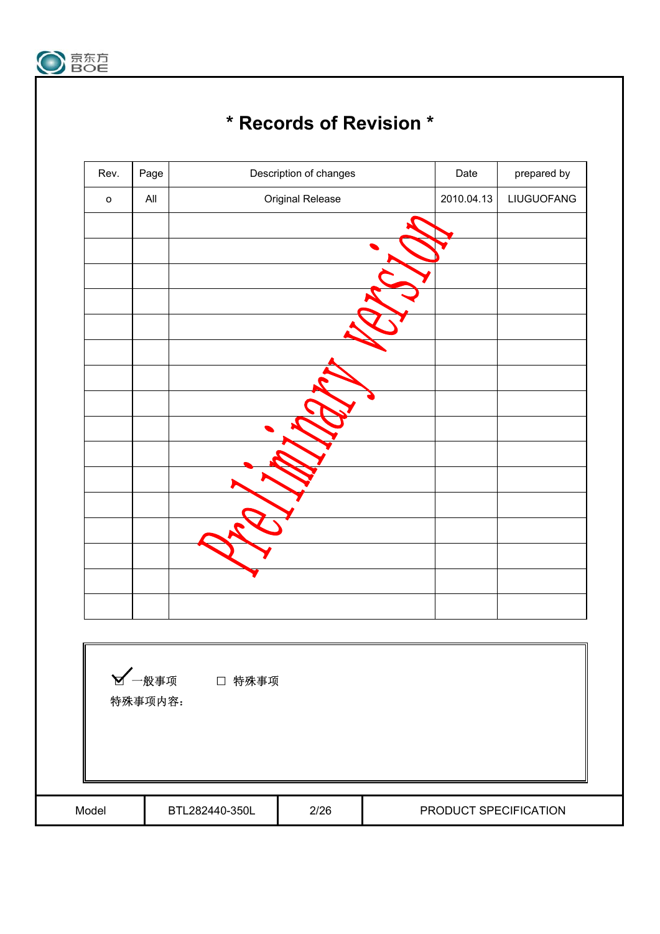

# **\* Records of Revision \***

| Rev.         | Page    |                | Description of changes | Date                  | prepared by |
|--------------|---------|----------------|------------------------|-----------------------|-------------|
| $\mathsf{o}$ | All     |                | Original Release       | 2010.04.13            | LIUGUOFANG  |
|              |         |                |                        |                       |             |
|              |         |                |                        |                       |             |
|              |         |                |                        |                       |             |
|              |         |                |                        |                       |             |
|              |         |                |                        |                       |             |
|              |         |                |                        |                       |             |
|              |         |                |                        |                       |             |
|              |         |                |                        |                       |             |
|              |         |                |                        |                       |             |
|              |         |                |                        |                       |             |
|              |         |                |                        |                       |             |
|              |         |                |                        |                       |             |
|              |         |                |                        |                       |             |
|              |         |                |                        |                       |             |
|              |         |                |                        |                       |             |
|              |         |                |                        |                       |             |
|              |         |                |                        |                       |             |
|              |         |                |                        |                       |             |
|              |         | ■ 一般事项 □ 特殊事项  |                        |                       |             |
|              | 特殊事项内容: |                |                        |                       |             |
|              |         |                |                        |                       |             |
|              |         |                |                        |                       |             |
|              |         |                |                        |                       |             |
|              |         |                |                        |                       |             |
| Model        |         | BTL282440-350L | 2/26                   | PRODUCT SPECIFICATION |             |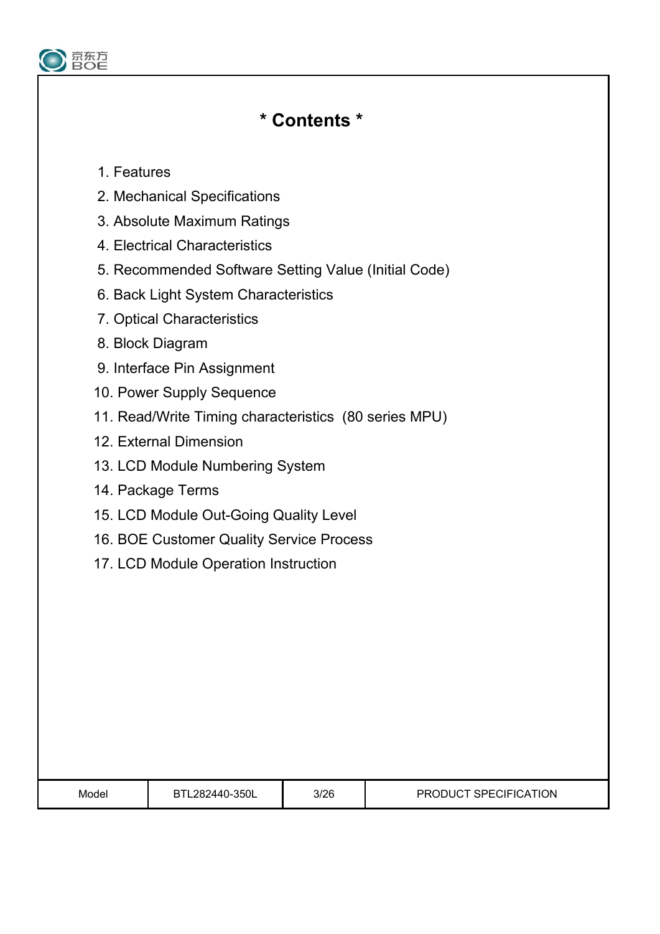

# **\* Contents \***

## 1. Features

- 2. Mechanical Specifications
- 3. Absolute Maximum Ratings
- 4. Electrical Characteristics
- 5. Recommended Software Setting Value (Initial Code)
- 6. Back Light System Characteristics
- 7. Optical Characteristics
- 8. Block Diagram
- 9. Interface Pin Assignment
- 10. Power Supply Sequence
- 11. Read/Write Timing characteristics (80 series MPU)
- 12. External Dimension
- 13. LCD Module Numbering System
- 14. Package Terms
- 15. LCD Module Out-Going Quality Level
- 16. BOE Customer Quality Service Process
- 17. LCD Module Operation Instruction

| Model<br>. | $-350L$<br>282440- | 3/26 | <b>SPECIFIC</b><br><b>ATION</b><br>וחמםם<br>. :АТ<br>-10 |
|------------|--------------------|------|----------------------------------------------------------|
|------------|--------------------|------|----------------------------------------------------------|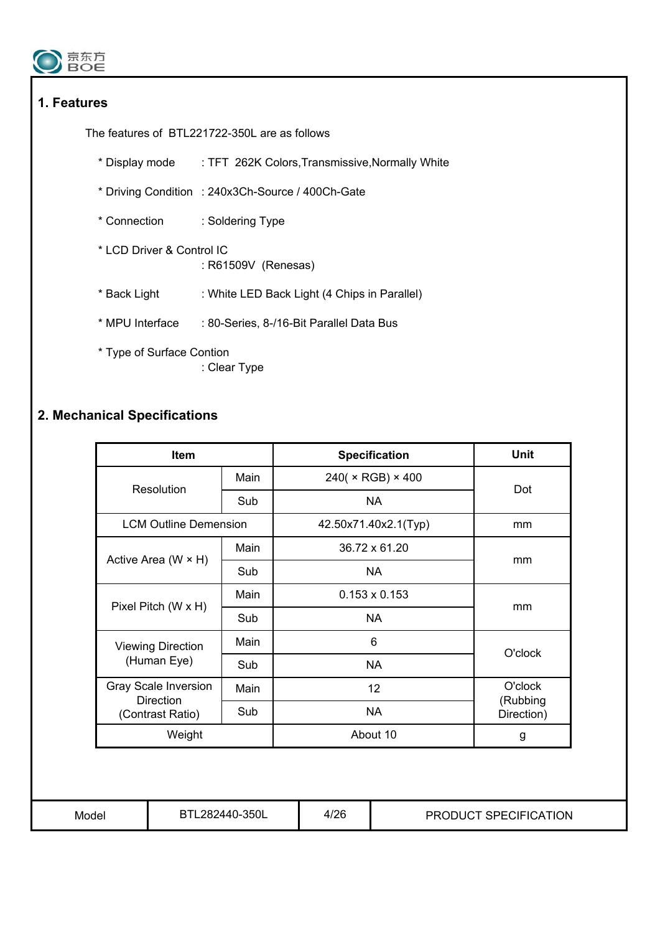

## **1. Features**

The features of BTL221722-350L are as follows

- \* Display mode : TFT 262K Colors,Transmissive,Normally White
- \* Driving Condition : 240x3Ch-Source / 400Ch-Gate
- \* Connection : Soldering Type
- \* LCD Driver & Control IC : R61509V (Renesas)
- \* Back Light : White LED Back Light (4 Chips in Parallel)
- \* MPU Interface : 80-Series, 8-/16-Bit Parallel Data Bus
- \* Type of Surface Contion : Clear Type

## **2. Mechanical Specifications**

| Item                                 |      | <b>Specification</b> | <b>Unit</b>            |  |
|--------------------------------------|------|----------------------|------------------------|--|
| Resolution                           | Main | 240( × RGB) × 400    | Dot                    |  |
|                                      | Sub  | <b>NA</b>            |                        |  |
| <b>LCM Outline Demension</b>         |      | 42.50x71.40x2.1(Typ) | mm                     |  |
|                                      | Main | 36.72 x 61.20        |                        |  |
| Active Area (W $\times$ H)           | Sub  | <b>NA</b>            | mm                     |  |
|                                      | Main | $0.153 \times 0.153$ |                        |  |
| Pixel Pitch (W x H)                  | Sub  | <b>NA</b>            | mm                     |  |
| <b>Viewing Direction</b>             | Main | 6                    | O'clock                |  |
| (Human Eye)                          | Sub  | <b>NA</b>            |                        |  |
| Gray Scale Inversion                 | Main | 12                   | O'clock                |  |
| <b>Direction</b><br>(Contrast Ratio) | Sub  | <b>NA</b>            | (Rubbing<br>Direction) |  |
| Weight                               |      | About 10             | g                      |  |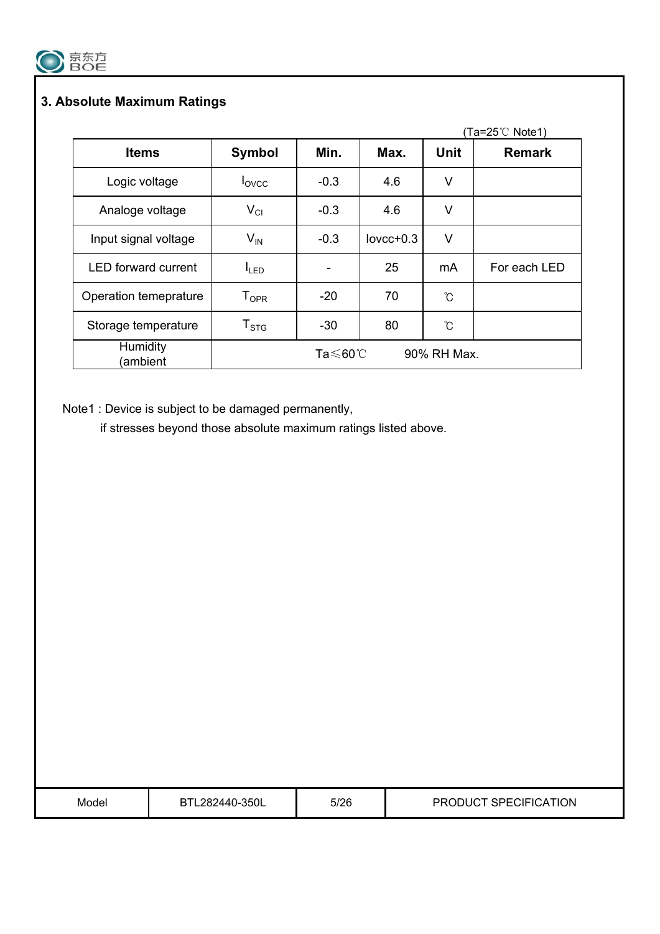

## **3. Absolute Maximum Ratings**

|                            |                              |                     |             |             | Ta=25℃ Note1) |
|----------------------------|------------------------------|---------------------|-------------|-------------|---------------|
| <b>Items</b>               | <b>Symbol</b>                | Min.                | Max.        | <b>Unit</b> | <b>Remark</b> |
| Logic voltage              | lovcc                        | $-0.3$              | 4.6         | V           |               |
| Analoge voltage            | $V_{CI}$                     | $-0.3$              | 4.6         | V           |               |
| Input signal voltage       | $V_{IN}$                     | $-0.3$              | $lovcc+0.3$ | V           |               |
| <b>LED</b> forward current | $I_{LED}$                    |                     | 25          | mA          | For each LED  |
| Operation temeprature      | ${\mathsf T}_{\textsf{OPR}}$ | $-20$               | 70          | ℃           |               |
| Storage temperature        | ${\sf T}_{\text{STG}}$       | $-30$               | 80          | ℃           |               |
| Humidity<br>(ambient       |                              | Ta $\leqslant$ 60°C |             | 90% RH Max. |               |

Note1 : Device is subject to be damaged permanently,

if stresses beyond those absolute maximum ratings listed above.

| Model | BTL282440-350L | 5/26 | PRODUCT SPECIFICATION |
|-------|----------------|------|-----------------------|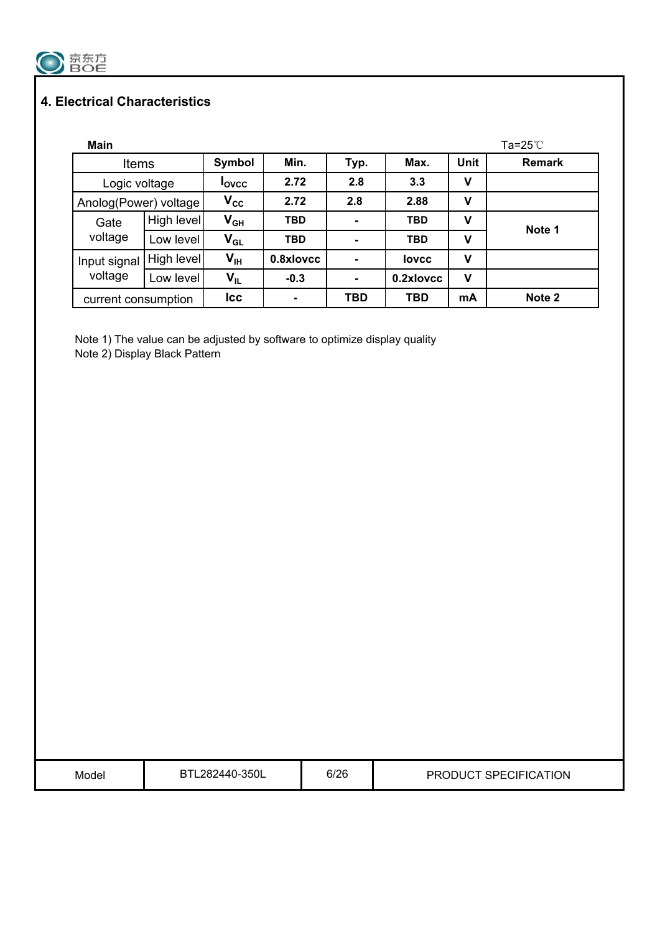

## **4. Electrical Characteristics**

| <b>Main</b>           |            |                 |            |                |              |             | $Ta=25^{\circ}$ C |
|-----------------------|------------|-----------------|------------|----------------|--------------|-------------|-------------------|
| <b>Items</b>          |            | Symbol          | Min.       | Typ.           | Max.         | <b>Unit</b> | <b>Remark</b>     |
| Logic voltage         |            | <b>Lovcc</b>    | 2.72       | 2.8            | 3.3          | v           |                   |
| Anolog(Power) voltage |            | $V_{\rm CC}$    | 2.72       | 2.8            | 2.88         | v           |                   |
| Gate                  | High level | $V_{GH}$        | <b>TBD</b> | $\blacksquare$ | <b>TBD</b>   | v           |                   |
| voltage               | Low level  | $V_{GL}$        | <b>TBD</b> | ۰              | <b>TBD</b>   | v           | Note 1            |
| Input signal          | High level | V <sub>IH</sub> | 0.8xlovcc  | ۰              | <b>lovcc</b> | V           |                   |
| voltage               | Low level  | $V_{IL}$        | $-0.3$     | $\blacksquare$ | 0.2xlovcc    | ۷           |                   |
| current consumption   |            | <b>Icc</b>      |            | <b>TBD</b>     | <b>TBD</b>   | mA          | Note 2            |

Note 1) The value can be adjusted by software to optimize display quality Note 2) Display Black Pattern

| Model | 2440-350L<br>דם<br>יס ס | 6/26 | <b>TION</b><br>םם<br>CIFICA<br>ミレーム<br>ات |
|-------|-------------------------|------|-------------------------------------------|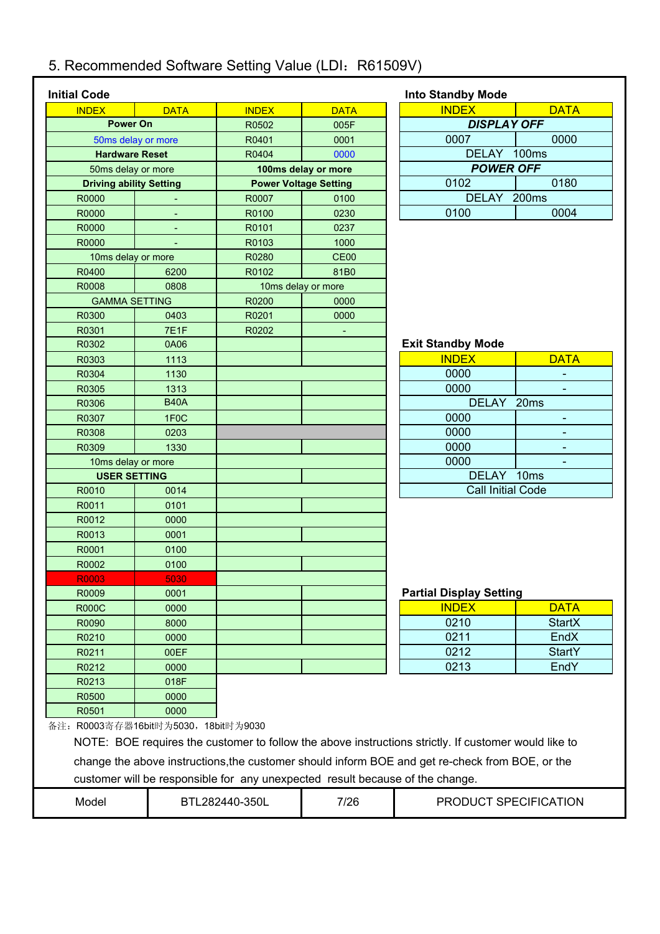# 5. Recommended Software Setting Value (LDI: R61509V)

| <b>Initial Code</b> |                                      |                |                                                                               | <b>Into Standby Mode</b>                                                                             |                |  |
|---------------------|--------------------------------------|----------------|-------------------------------------------------------------------------------|------------------------------------------------------------------------------------------------------|----------------|--|
| <b>INDEX</b>        | <b>DATA</b>                          | <b>INDEX</b>   | <b>DATA</b>                                                                   | <b>INDEX</b>                                                                                         | <b>DATA</b>    |  |
|                     | <b>Power On</b>                      | R0502          | 005F                                                                          | <b>DISPLAY OFF</b>                                                                                   |                |  |
|                     | 50ms delay or more                   | R0401          | 0001                                                                          | 0007                                                                                                 | 0000           |  |
|                     | <b>Hardware Reset</b>                | R0404          | 0000                                                                          | DELAY 100ms                                                                                          |                |  |
|                     | 50ms delay or more                   |                | 100ms delay or more                                                           | <b>POWER OFF</b>                                                                                     |                |  |
|                     | <b>Driving ability Setting</b>       |                | <b>Power Voltage Setting</b>                                                  | 0102                                                                                                 | 0180           |  |
| R0000               |                                      | R0007          | 0100                                                                          | DELAY 200ms                                                                                          |                |  |
| R0000               |                                      | R0100          | 0230                                                                          | 0100                                                                                                 | 0004           |  |
| R0000               |                                      | R0101          | 0237                                                                          |                                                                                                      |                |  |
| R0000               |                                      | R0103          | 1000                                                                          |                                                                                                      |                |  |
|                     | 10ms delay or more                   | R0280          | CE <sub>00</sub>                                                              |                                                                                                      |                |  |
| R0400               | 6200                                 | R0102          | 81B0                                                                          |                                                                                                      |                |  |
| R0008               | 0808                                 |                | 10ms delay or more                                                            |                                                                                                      |                |  |
|                     | <b>GAMMA SETTING</b>                 | R0200          | 0000                                                                          |                                                                                                      |                |  |
| R0300               | 0403                                 | R0201          | 0000                                                                          |                                                                                                      |                |  |
| R0301               | 7E1F                                 | R0202          | $\blacksquare$                                                                |                                                                                                      |                |  |
| R0302               | 0A06                                 |                |                                                                               | <b>Exit Standby Mode</b>                                                                             |                |  |
| R0303               | 1113                                 |                |                                                                               | <b>INDEX</b>                                                                                         | <b>DATA</b>    |  |
| R0304               | 1130                                 |                |                                                                               | 0000                                                                                                 |                |  |
| R0305               | 1313                                 |                |                                                                               | 0000                                                                                                 |                |  |
| R0306               | <b>B40A</b>                          |                |                                                                               | DELAY 20ms                                                                                           |                |  |
| R0307               | 1F <sub>0</sub> C                    |                |                                                                               | 0000                                                                                                 | $\blacksquare$ |  |
| R0308               | 0203                                 |                |                                                                               | 0000                                                                                                 |                |  |
| R0309               | 1330                                 |                |                                                                               | 0000                                                                                                 |                |  |
|                     | 10ms delay or more                   |                |                                                                               | 0000                                                                                                 |                |  |
|                     | <b>USER SETTING</b>                  |                |                                                                               | DELAY 10ms                                                                                           |                |  |
| R0010               | 0014                                 |                |                                                                               | <b>Call Initial Code</b>                                                                             |                |  |
| R0011               | 0101                                 |                |                                                                               |                                                                                                      |                |  |
| R0012               | 0000                                 |                |                                                                               |                                                                                                      |                |  |
| R0013               | 0001                                 |                |                                                                               |                                                                                                      |                |  |
| R0001               | 0100                                 |                |                                                                               |                                                                                                      |                |  |
| R0002               | 0100                                 |                |                                                                               |                                                                                                      |                |  |
| <b>R0003</b>        | 5030.                                |                |                                                                               |                                                                                                      |                |  |
| R0009               | 0001                                 |                |                                                                               | <b>Partial Display Setting</b>                                                                       |                |  |
| <b>R000C</b>        | 0000                                 |                |                                                                               | <b>INDEX</b>                                                                                         | <b>DATA</b>    |  |
| R0090               | 8000                                 |                |                                                                               | 0210                                                                                                 | <b>StartX</b>  |  |
| R0210               | 0000                                 |                |                                                                               | 0211                                                                                                 | EndX           |  |
| R0211               | 00EF                                 |                |                                                                               | 0212                                                                                                 | <b>StartY</b>  |  |
| R0212               | 0000                                 |                |                                                                               | 0213                                                                                                 | EndY           |  |
| R0213               | 018F                                 |                |                                                                               |                                                                                                      |                |  |
| R0500               | 0000                                 |                |                                                                               |                                                                                                      |                |  |
| R0501               | 0000                                 |                |                                                                               |                                                                                                      |                |  |
|                     | 备注: R0003寄存器16bit时为5030, 18bit时为9030 |                |                                                                               |                                                                                                      |                |  |
|                     |                                      |                |                                                                               |                                                                                                      |                |  |
|                     |                                      |                |                                                                               | NOTE: BOE requires the customer to follow the above instructions strictly. If customer would like to |                |  |
|                     |                                      |                |                                                                               | change the above instructions, the customer should inform BOE and get re-check from BOE, or the      |                |  |
|                     |                                      |                | customer will be responsible for any unexpected result because of the change. |                                                                                                      |                |  |
|                     |                                      |                |                                                                               | PRODUCT SPECIFICATION                                                                                |                |  |
| Model               |                                      | BTL282440-350L | 7/26                                                                          |                                                                                                      |                |  |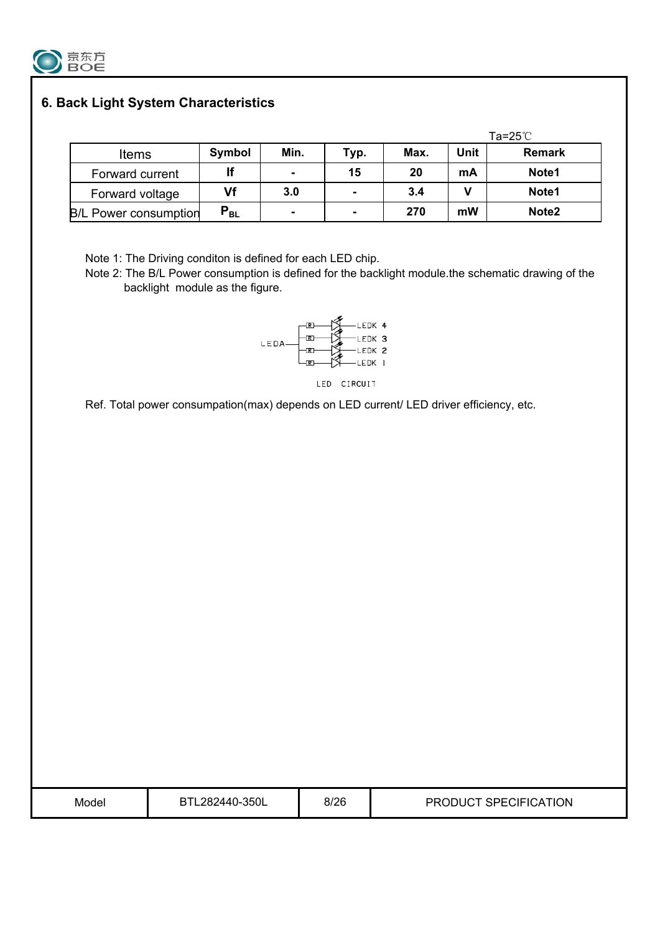

## **6. Back Light System Characteristics**

|                              |          |      |      |      |      | Ta=25 $\degree$ C |
|------------------------------|----------|------|------|------|------|-------------------|
| <b>Items</b>                 | Symbol   | Min. | Typ. | Max. | Unit | <b>Remark</b>     |
| Forward current              | lf       | ۰    | 15   | 20   | mA   | Note1             |
| Forward voltage              | Vf       | 3.0  |      | 3.4  |      | Note1             |
| <b>B/L Power consumption</b> | $P_{BL}$ | ٠    | ۰    | 270  | mW   | Note <sub>2</sub> |

Note 1: The Driving conditon is defined for each LED chip.

Note 2: The B/L Power consumption is defined for the backlight module.the schematic drawing of the backlight module as the figure.



LED CIRCUIT

Ref. Total power consumpation(max) depends on LED current/ LED driver efficiency, etc.

| Model | BTL282440-350L | 8/26 | PRODUCT SPECIFICATION |
|-------|----------------|------|-----------------------|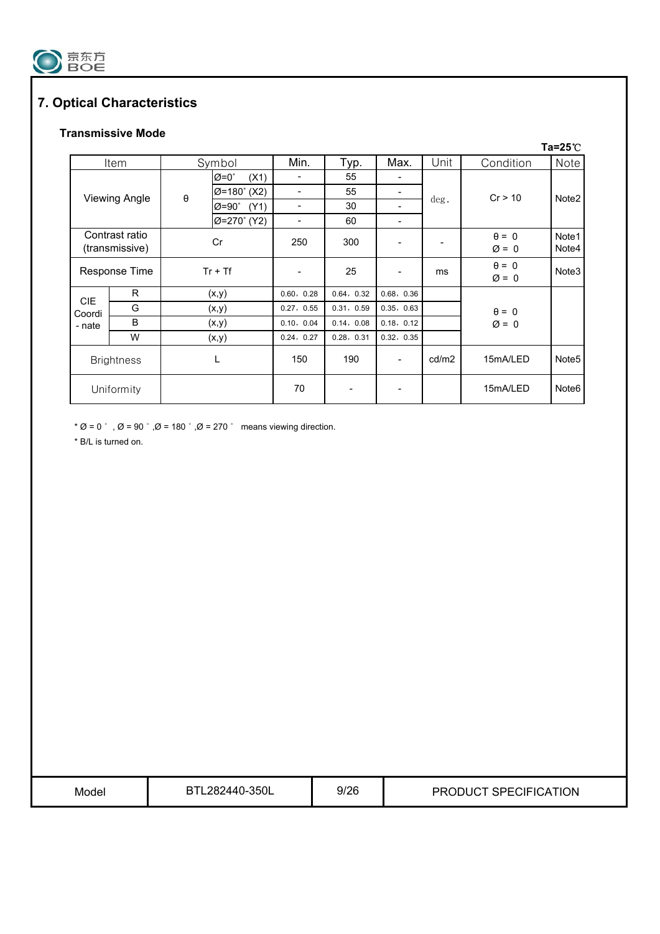

## **7. Optical Characteristics**

### **Transmissive Mode**

|                   |                      |           |                           |                          |            |                   |       |                   | $Ta=25^{\circ}C$  |
|-------------------|----------------------|-----------|---------------------------|--------------------------|------------|-------------------|-------|-------------------|-------------------|
|                   | Item                 |           | Symbol                    | Min.                     | Typ.       | Max.              | Unit  | Condition         | <b>Note</b>       |
|                   |                      |           | $\varnothing$ =0°<br>(X1) | $\blacksquare$           | 55         |                   |       |                   |                   |
|                   | <b>Viewing Angle</b> | $\theta$  | $Ø=180^\circ$ (X2)        | $\blacksquare$           | 55         |                   |       | Cr > 10           | Note <sub>2</sub> |
|                   |                      |           | $Ø=90^\circ$<br>(Y1)      | $\overline{\phantom{a}}$ | 30         |                   | deg.  |                   |                   |
|                   |                      |           | Ø=270° (Y2)               | $\overline{\phantom{a}}$ | 60         |                   |       |                   |                   |
|                   | Contrast ratio       |           | Cr                        | 250                      | 300        |                   |       | $\theta = 0$      | Note1             |
|                   | (transmissive)       |           |                           |                          |            | $\varnothing = 0$ | Note4 |                   |                   |
|                   | Response Time        | $Tr + Tf$ |                           | $\overline{\phantom{a}}$ | 25         |                   | ms    | $\theta = 0$      | Note3             |
|                   |                      |           |                           |                          |            |                   |       | $\varnothing = 0$ |                   |
| CIE.              | R                    |           | (x,y)                     | 0.60, 0.28               | 0.64, 0.32 | 0.68, 0.36        |       |                   |                   |
| Coordi            | G                    |           | (x,y)                     | 0.27, 0.55               | 0.31, 0.59 | 0.35, 0.63        |       | $\theta = 0$      |                   |
| - nate            | B                    |           | (x,y)                     | 0.10, 0.04               | 0.14, 0.08 | 0.18, 0.12        |       | $\varnothing = 0$ |                   |
|                   | W                    | (x,y)     |                           | 0.24, 0.27               | 0.28, 0.31 | 0.32, 0.35        |       |                   |                   |
| <b>Brightness</b> |                      |           | L                         | 150                      | 190        |                   | cd/m2 | 15mA/LED          | Note <sub>5</sub> |
| Uniformity        |                      |           |                           | 70                       |            |                   |       | 15mA/LED          | Note <sub>6</sub> |

\* Ø = 0  $\degree$ , Ø = 90  $\degree$ , Ø = 180  $\degree$ , Ø = 270  $\degree$  means viewing direction.

\* B/L is turned on.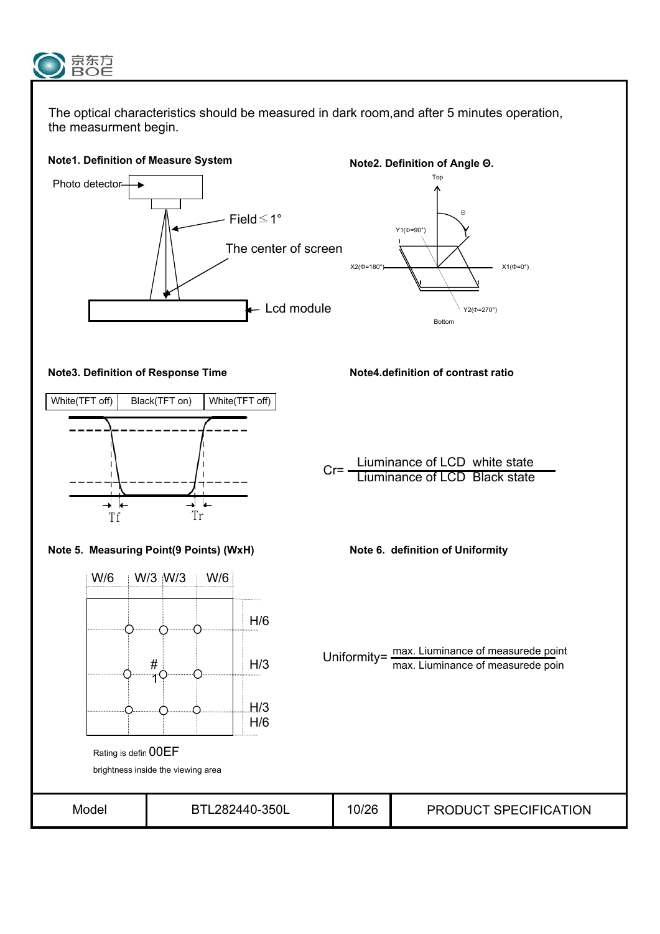

The optical characteristics should be measured in dark room,and after 5 minutes operation, the measurment begin.

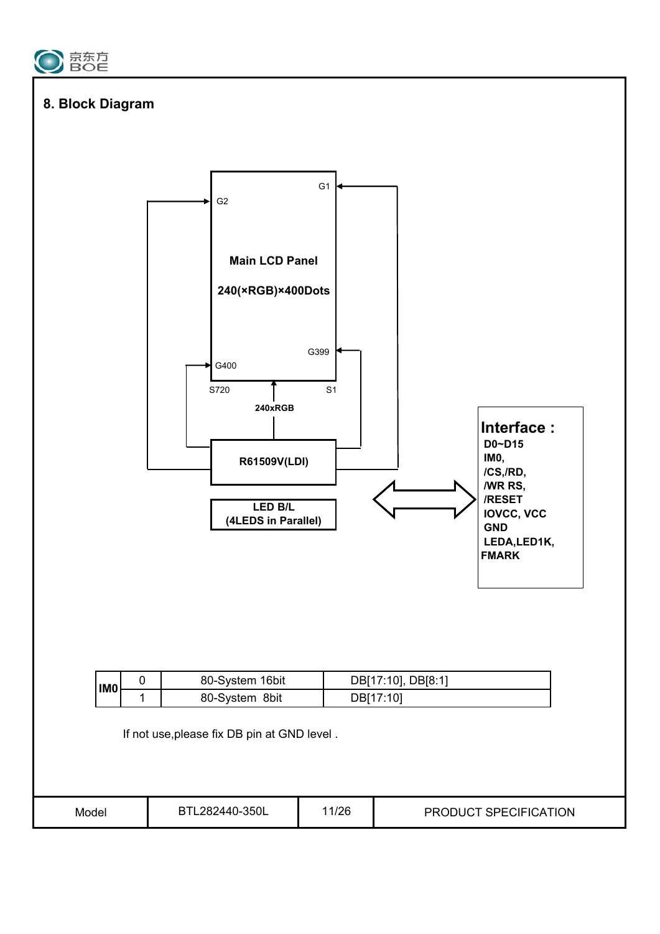

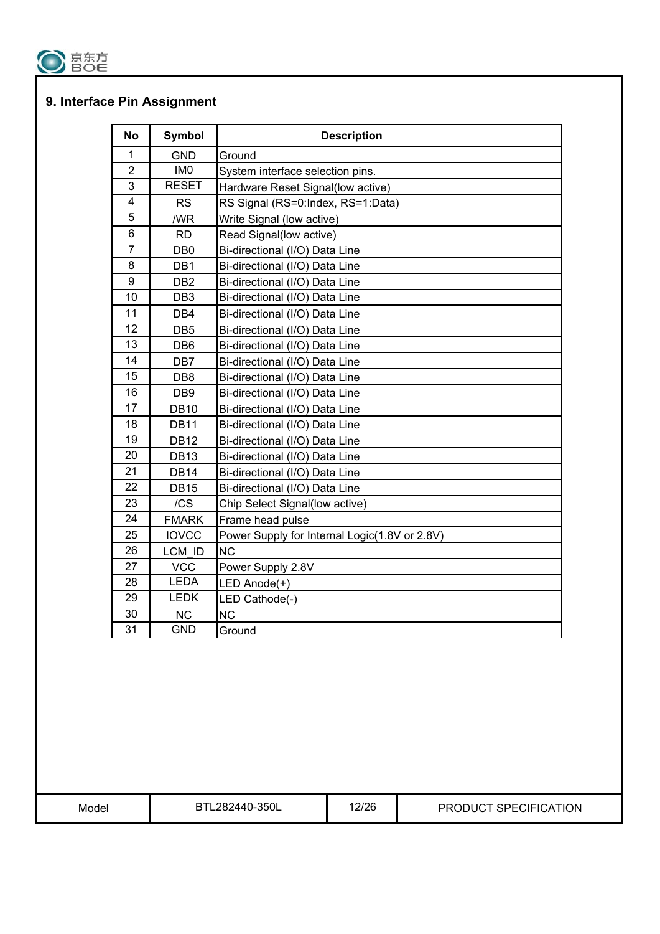

## **9. Interface Pin Assignment**

| <b>No</b>        | Symbol          | <b>Description</b>                            |
|------------------|-----------------|-----------------------------------------------|
| 1                | <b>GND</b>      | Ground                                        |
| $\overline{2}$   | IM <sub>0</sub> | System interface selection pins.              |
| 3                | <b>RESET</b>    | Hardware Reset Signal(low active)             |
| 4                | <b>RS</b>       | RS Signal (RS=0:Index, RS=1:Data)             |
| 5                | /WR             | Write Signal (low active)                     |
| $6\phantom{1}$   | <b>RD</b>       | Read Signal(low active)                       |
| $\overline{7}$   | DB <sub>0</sub> | Bi-directional (I/O) Data Line                |
| 8                | DB1             | Bi-directional (I/O) Data Line                |
| $\boldsymbol{9}$ | DB <sub>2</sub> | Bi-directional (I/O) Data Line                |
| 10               | DB <sub>3</sub> | Bi-directional (I/O) Data Line                |
| 11               | DB4             | Bi-directional (I/O) Data Line                |
| 12               | DB <sub>5</sub> | Bi-directional (I/O) Data Line                |
| 13               | DB <sub>6</sub> | Bi-directional (I/O) Data Line                |
| 14               | DB7             | Bi-directional (I/O) Data Line                |
| 15               | DB8             | Bi-directional (I/O) Data Line                |
| 16               | DB <sub>9</sub> | Bi-directional (I/O) Data Line                |
| 17               | <b>DB10</b>     | Bi-directional (I/O) Data Line                |
| 18               | <b>DB11</b>     | Bi-directional (I/O) Data Line                |
| 19               | <b>DB12</b>     | Bi-directional (I/O) Data Line                |
| 20               | <b>DB13</b>     | Bi-directional (I/O) Data Line                |
| 21               | <b>DB14</b>     | Bi-directional (I/O) Data Line                |
| 22               | DB15            | Bi-directional (I/O) Data Line                |
| 23               | /CS             | Chip Select Signal(low active)                |
| 24               | <b>FMARK</b>    | Frame head pulse                              |
| 25               | <b>IOVCC</b>    | Power Supply for Internal Logic(1.8V or 2.8V) |
| 26               | LCM ID          | <b>NC</b>                                     |
| 27               | <b>VCC</b>      | Power Supply 2.8V                             |
| 28               | <b>LEDA</b>     | LED Anode(+)                                  |
| 29               | <b>LEDK</b>     | LED Cathode(-)                                |
| 30               | <b>NC</b>       | <b>NC</b>                                     |
| 31               | <b>GND</b>      | Ground                                        |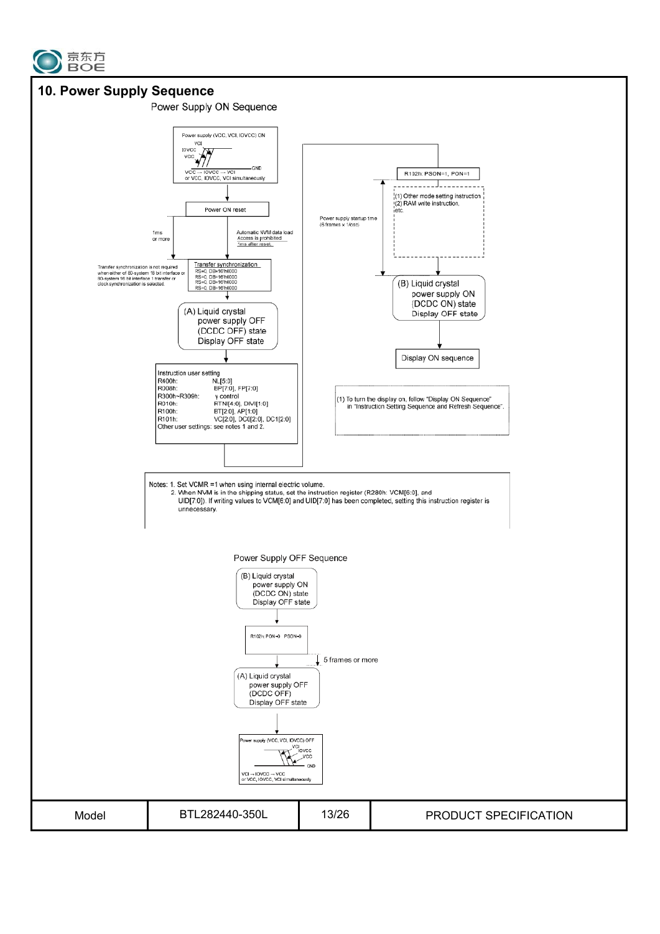

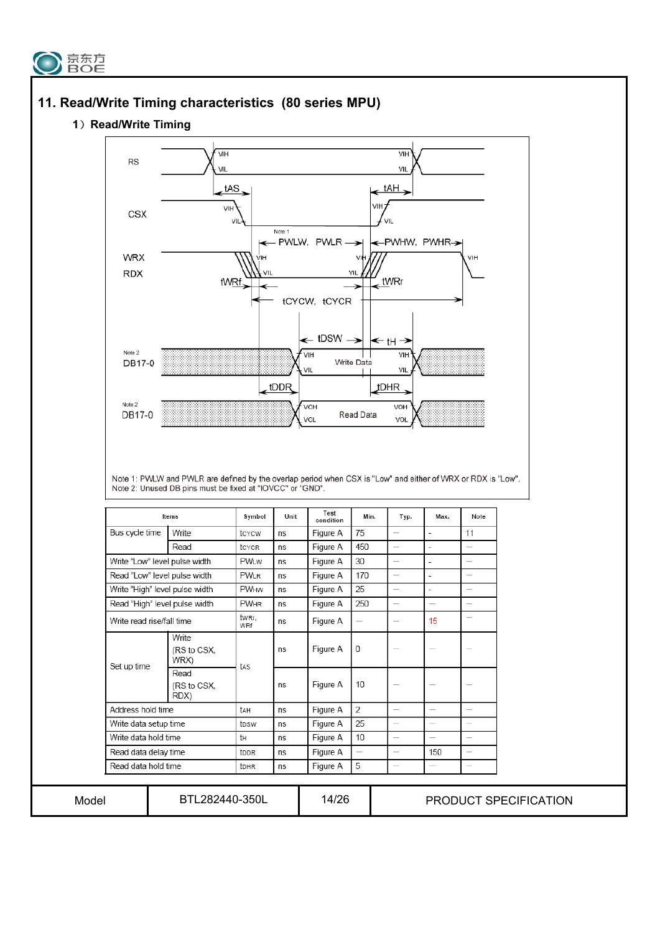



#### **1**) Read/Write Timing

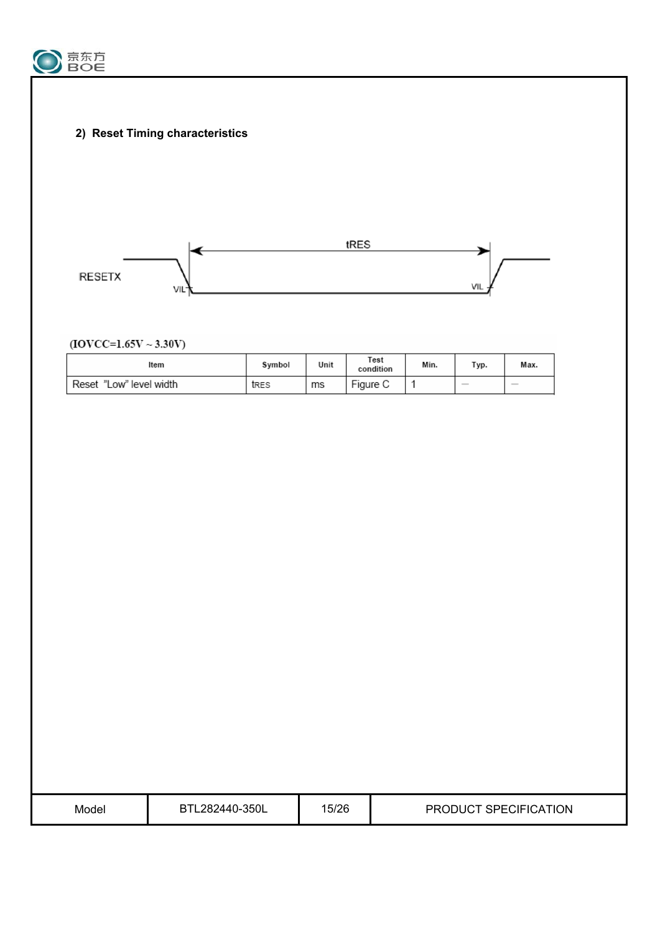

 **2) Reset Timing characteristics**



 $(IOVCC=1.65V \sim 3.30V)$ 

| Item                       | Symbol | Unit | Test<br>condition | Min. | Typ.                                                                                                                                                                                                                                                                                                                                                                                                                                                                       | Max.          |
|----------------------------|--------|------|-------------------|------|----------------------------------------------------------------------------------------------------------------------------------------------------------------------------------------------------------------------------------------------------------------------------------------------------------------------------------------------------------------------------------------------------------------------------------------------------------------------------|---------------|
| "Low" level width<br>Reset | tres   | ms   | Figure C          |      | $\frac{1}{2} \left( \frac{1}{2} \right) \left( \frac{1}{2} \right) \left( \frac{1}{2} \right) \left( \frac{1}{2} \right) \left( \frac{1}{2} \right) \left( \frac{1}{2} \right) \left( \frac{1}{2} \right) \left( \frac{1}{2} \right) \left( \frac{1}{2} \right) \left( \frac{1}{2} \right) \left( \frac{1}{2} \right) \left( \frac{1}{2} \right) \left( \frac{1}{2} \right) \left( \frac{1}{2} \right) \left( \frac{1}{2} \right) \left( \frac{1}{2} \right) \left( \frac$ | $\frac{1}{2}$ |

| Model | BTL282440-350L | 15/26 | PRODUCT SPECIFICATION |
|-------|----------------|-------|-----------------------|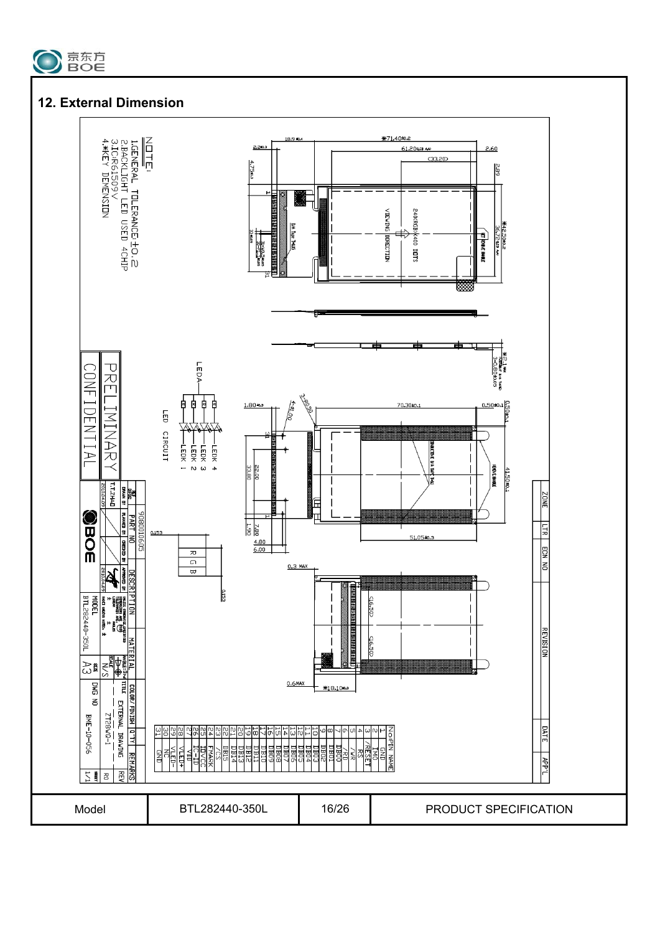

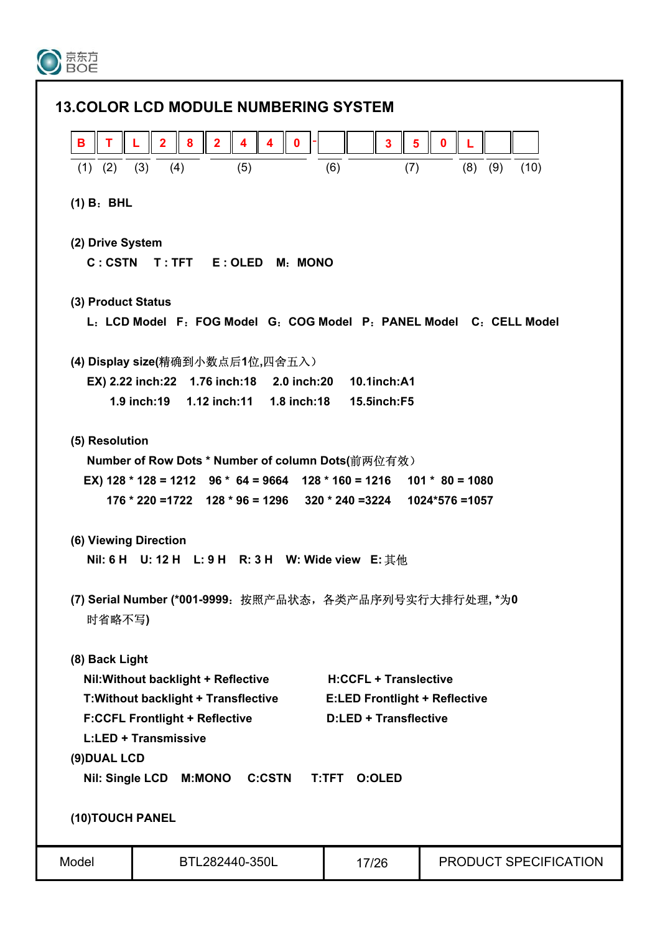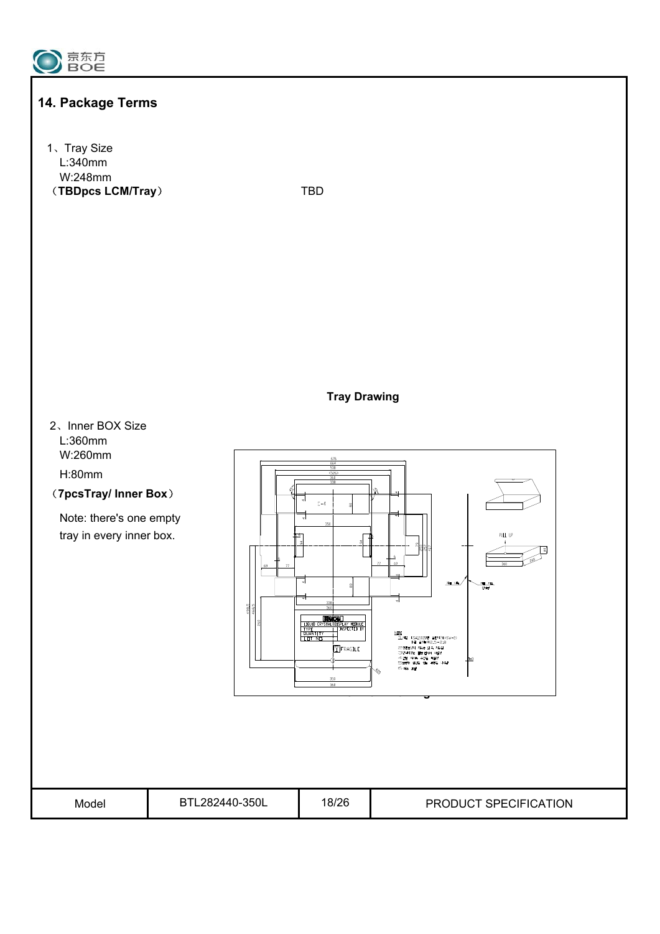

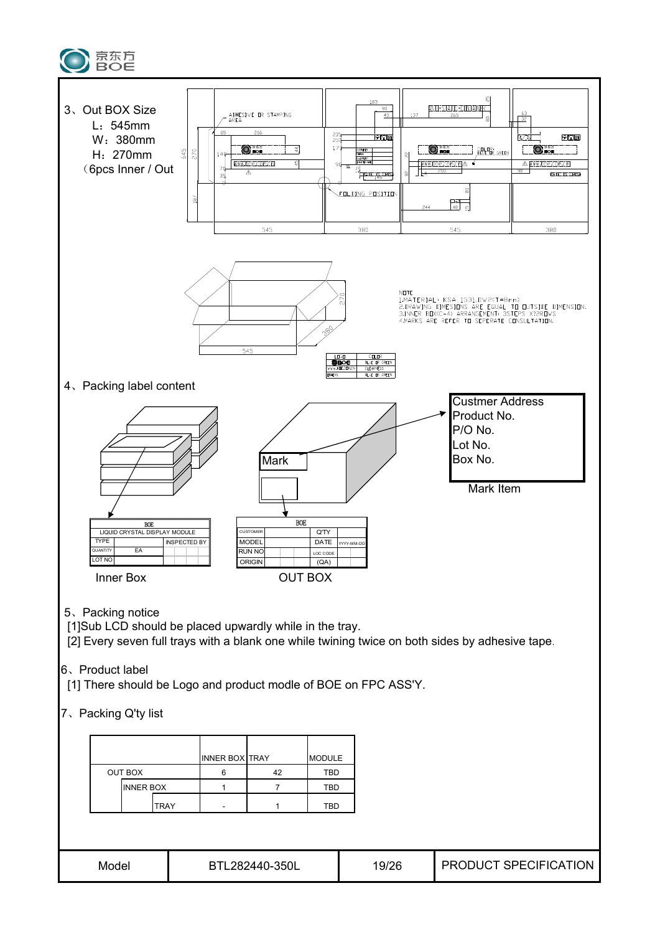

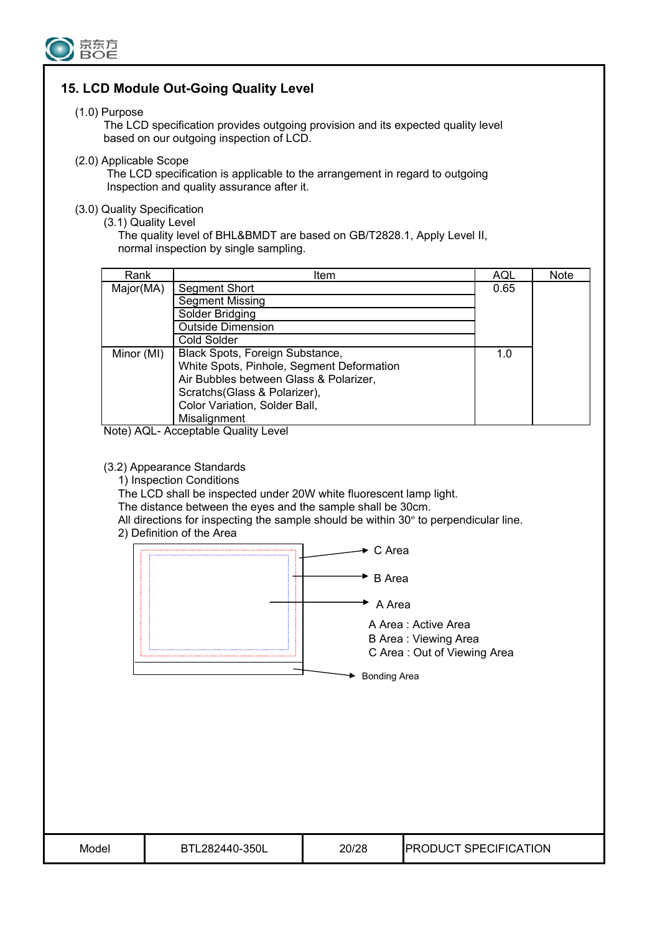

## **15. LCD Module Out-Going Quality Level**

#### (1.0) Purpose

 The LCD specification provides outgoing provision and its expected quality level based on our outgoing inspection of LCD.

(2.0) Applicable Scope

 The LCD specification is applicable to the arrangement in regard to outgoing Inspection and quality assurance after it.

#### (3.0) Quality Specification

(3.1) Quality Level

The quality level of BHL&BMDT are based on GB/T2828.1, Apply Level II, normal inspection by single sampling.

| Rank       | <b>Item</b>                               | AQL  | <b>Note</b> |
|------------|-------------------------------------------|------|-------------|
| Major(MA)  | Segment Short                             | 0.65 |             |
|            | <b>Segment Missing</b>                    |      |             |
|            | Solder Bridging                           |      |             |
|            | <b>Outside Dimension</b>                  |      |             |
|            | Cold Solder                               |      |             |
| Minor (MI) | Black Spots, Foreign Substance,           | 1.0  |             |
|            | White Spots, Pinhole, Segment Deformation |      |             |
|            | Air Bubbles between Glass & Polarizer,    |      |             |
|            | Scratchs (Glass & Polarizer),             |      |             |
|            | Color Variation, Solder Ball,             |      |             |
|            | Misalignment                              |      |             |

Note) AQL- Acceptable Quality Level

#### (3.2) Appearance Standards

1) Inspection Conditions

The LCD shall be inspected under 20W white fluorescent lamp light.

The distance between the eyes and the sample shall be 30cm.

All directions for inspecting the sample should be within 30º to perpendicular line.

2) Definition of the Area



Model BTL282440-350L 20/28 PRODUCT SPECIFICATION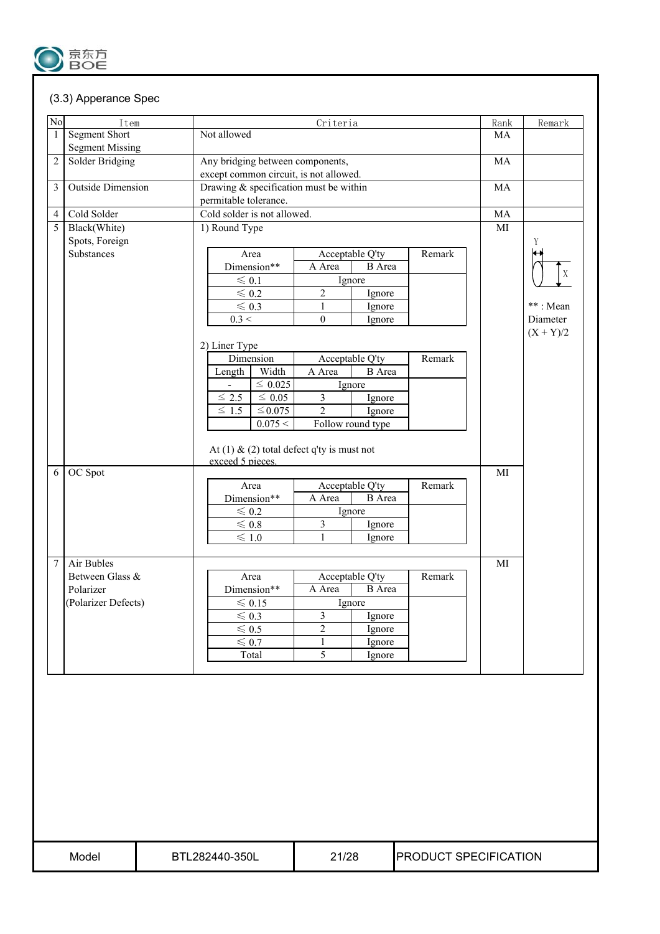

### (3.3) Apperance Spec

| No             | Item                                    |                                        |                                        | Criteria                                      |                   |        | Rank | Remark      |
|----------------|-----------------------------------------|----------------------------------------|----------------------------------------|-----------------------------------------------|-------------------|--------|------|-------------|
| 1              | Segment Short<br><b>Segment Missing</b> | Not allowed                            |                                        |                                               |                   |        | MA   |             |
| $\overline{2}$ | Solder Bridging                         |                                        | Any bridging between components,       |                                               |                   |        |      |             |
|                |                                         |                                        | except common circuit, is not allowed. |                                               |                   |        | MA   |             |
| 3              | <b>Outside Dimension</b>                | Drawing & specification must be within |                                        |                                               |                   |        | MA   |             |
|                |                                         | permitable tolerance.                  |                                        |                                               |                   |        |      |             |
| $\overline{4}$ | Cold Solder                             | Cold solder is not allowed.            |                                        |                                               |                   |        | MA   |             |
| 5              | Black(White)                            | 1) Round Type                          |                                        |                                               |                   |        | MI   |             |
|                | Spots, Foreign                          |                                        |                                        |                                               |                   |        |      | Y           |
|                | Substances                              | Area                                   |                                        |                                               | Acceptable Q'ty   | Remark |      |             |
|                |                                         | Dimension**                            |                                        | A Area                                        | <b>B</b> Area     |        |      |             |
|                |                                         | $\leqslant 0.1$                        |                                        | Ignore                                        |                   |        |      | $\mathbf X$ |
|                |                                         | $\leqslant 0.2$                        |                                        | $\overline{2}$                                | Ignore            |        |      |             |
|                |                                         | $\leqslant 0.3$                        |                                        | $\mathbf{1}$                                  | Ignore            |        |      | **: Mean    |
|                |                                         | 0.3 <                                  |                                        | $\mathbf{0}$                                  | Ignore            |        |      | Diameter    |
|                |                                         |                                        |                                        |                                               |                   |        |      | $(X + Y)/2$ |
|                |                                         | 2) Liner Type                          |                                        |                                               |                   |        |      |             |
|                |                                         | Dimension                              |                                        |                                               | Acceptable Q'ty   | Remark |      |             |
|                |                                         | Length                                 | Width                                  | A Area                                        | <b>B</b> Area     |        |      |             |
|                |                                         |                                        | $\leq 0.025$                           | Ignore                                        |                   |        |      |             |
|                |                                         |                                        |                                        | $\overline{3}$                                | Ignore            |        |      |             |
|                |                                         | $\leq 2.5$                             | $\leq 0.05$                            |                                               |                   |        |      |             |
|                |                                         | $\leq$ 1.5                             | $\leq$ 0.075                           | $\overline{2}$                                | Ignore            |        |      |             |
|                |                                         |                                        | 0.075 <                                | At (1) $\&$ (2) total defect q'ty is must not | Follow round type |        |      |             |
| 6              | OC Spot                                 | exceed 5 pieces.                       |                                        |                                               |                   |        | MI   |             |
|                |                                         | Area                                   |                                        |                                               | Acceptable Q'ty   | Remark |      |             |
|                |                                         | Dimension**                            |                                        | A Area                                        | <b>B</b> Area     |        |      |             |
|                |                                         | $\leqslant 0.2$                        |                                        |                                               | Ignore            |        |      |             |
|                |                                         | $\leqslant 0.8$                        |                                        | 3                                             | Ignore            |        |      |             |
|                |                                         | $\leqslant 1.0$                        |                                        | $\mathbf{1}$                                  | Ignore            |        |      |             |
|                |                                         |                                        |                                        |                                               |                   |        |      |             |
| 7              | <b>Air Bubles</b>                       |                                        |                                        |                                               |                   |        | MI   |             |
|                | Between Glass &                         | Area                                   |                                        |                                               | Acceptable Q'ty   | Remark |      |             |
|                | Polarizer                               | Dimension**                            |                                        | A Area                                        | <b>B</b> Area     |        |      |             |
|                | (Polarizer Defects)                     | $\leqslant$ 0.15                       |                                        | Ignore                                        |                   |        |      |             |
|                |                                         | $\leq 0.3$                             |                                        | 3                                             | Ignore            |        |      |             |
|                |                                         | $\leqslant 0.5$                        |                                        | $\overline{2}$                                | Ignore            |        |      |             |
|                |                                         | $\leqslant 0.7$<br>Total               |                                        | $\mathbf{1}$<br>$\overline{5}$                | Ignore<br>Ignore  |        |      |             |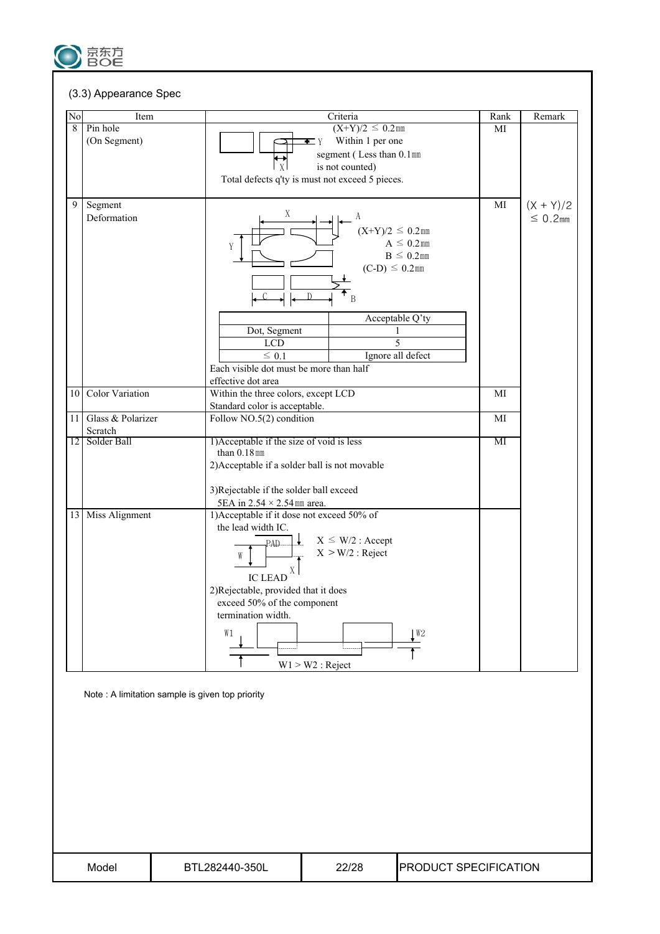

#### (3.3) Appearance Spec

| $\rm No$ | Item                   | Criteria                                        | Rank | Remark        |
|----------|------------------------|-------------------------------------------------|------|---------------|
| 8        | Pin hole               | $(X+Y)/2 \leq 0.2$ mm                           | MI   |               |
|          | (On Segment)           | Within 1 per one<br>$\bullet$ Y                 |      |               |
|          |                        | segment (Less than 0.1mm                        |      |               |
|          |                        | is not counted)<br>  X                          |      |               |
|          |                        | Total defects q'ty is must not exceed 5 pieces. |      |               |
|          |                        |                                                 |      |               |
| 9        | Segment                |                                                 | MI   | $(X + Y)/2$   |
|          | Deformation            | Χ                                               |      | $\leq 0.2$ mm |
|          |                        | $(X+Y)/2 \leq 0.2$ mm                           |      |               |
|          |                        | $A \leq 0.2$ mm                                 |      |               |
|          |                        | Y<br>$B \leq 0.2$ mm                            |      |               |
|          |                        |                                                 |      |               |
|          |                        | $(C-D) \leq 0.2$ mm                             |      |               |
|          |                        |                                                 |      |               |
|          |                        | B                                               |      |               |
|          |                        | Acceptable Q'ty                                 |      |               |
|          |                        | Dot, Segment<br>1                               |      |               |
|          |                        | $\overline{5}$<br><b>LCD</b>                    |      |               |
|          |                        | $\leq 0.1$<br>Ignore all defect                 |      |               |
|          |                        | Each visible dot must be more than half         |      |               |
|          |                        |                                                 |      |               |
|          |                        | effective dot area                              |      |               |
| 10       | <b>Color Variation</b> | Within the three colors, except LCD             | MI   |               |
|          |                        | Standard color is acceptable.                   |      |               |
| 11       | Glass & Polarizer      | Follow NO.5(2) condition                        | MI   |               |
|          | Scratch                |                                                 |      |               |
|          | 12 Solder Ball         | 1) Acceptable if the size of void is less       | МI   |               |
|          |                        | than $0.18$ mm                                  |      |               |
|          |                        | 2) Acceptable if a solder ball is not movable   |      |               |
|          |                        | 3) Rejectable if the solder ball exceed         |      |               |
|          |                        | 5EA in $2.54 \times 2.54$ mm area.              |      |               |
|          |                        |                                                 |      |               |
|          | 13 Miss Alignment      | 1) Acceptable if it dose not exceed 50% of      |      |               |
|          |                        | the lead width IC.                              |      |               |
|          |                        | $X \leq W/2$ : Accept<br>PAD.                   |      |               |
|          |                        | $X > W/2$ : Reject<br>W                         |      |               |
|          |                        | X                                               |      |               |
|          |                        | <b>IC LEAD</b>                                  |      |               |
|          |                        | 2)Rejectable, provided that it does             |      |               |
|          |                        | exceed 50% of the component                     |      |               |
|          |                        | termination width.                              |      |               |
|          |                        |                                                 |      |               |
|          |                        | W1<br>$\mathsf{L}^{\mathsf{W}2}$                |      |               |
|          |                        |                                                 |      |               |
|          |                        | $W1 > W2$ : Reject                              |      |               |
|          |                        |                                                 |      |               |

Note : A limitation sample is given top priority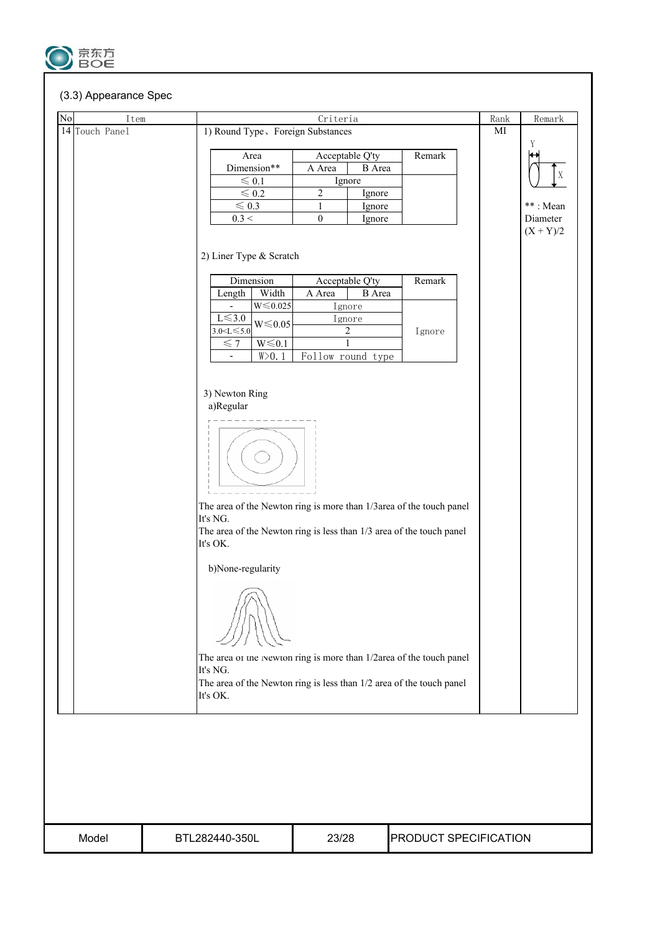

#### (3.3) Appearance Spec

| $\mathrm{No}$<br>Item |                                                                      | Criteria                                                             |               |                       | Rank                   | Remark      |  |  |
|-----------------------|----------------------------------------------------------------------|----------------------------------------------------------------------|---------------|-----------------------|------------------------|-------------|--|--|
| 14 Touch Panel        | 1) Round Type, Foreign Substances                                    |                                                                      |               |                       | $\mathbf{M}\mathbf{I}$ |             |  |  |
|                       |                                                                      |                                                                      |               |                       |                        | Y           |  |  |
|                       | Area                                                                 | Acceptable Q'ty                                                      |               | Remark                |                        |             |  |  |
|                       | Dimension**                                                          | A Area                                                               | <b>B</b> Area |                       |                        |             |  |  |
|                       | $\leqslant 0.1$                                                      | Ignore                                                               |               |                       |                        | $\mathbf X$ |  |  |
|                       | $\leqslant 0.2$                                                      | $\sqrt{2}$                                                           | Ignore        |                       |                        |             |  |  |
|                       | $\leqslant 0.3$                                                      | $\mathbf{1}$                                                         | Ignore        |                       |                        | **: Mean    |  |  |
|                       | 0.3 <                                                                | $\mathbf{0}$                                                         | Ignore        |                       |                        | Diameter    |  |  |
|                       |                                                                      |                                                                      |               |                       |                        | $(X + Y)/2$ |  |  |
|                       |                                                                      |                                                                      |               |                       |                        |             |  |  |
|                       | 2) Liner Type & Scratch                                              |                                                                      |               |                       |                        |             |  |  |
|                       | Dimension                                                            | Acceptable Q'ty                                                      |               | Remark                |                        |             |  |  |
|                       | Width<br>Length                                                      | A Area                                                               | <b>B</b> Area |                       |                        |             |  |  |
|                       | $W{\leq}0.025$<br>$\overline{\phantom{a}}$                           | Ignore                                                               |               |                       |                        |             |  |  |
|                       | $L \le 3.0$                                                          | Ignore                                                               |               |                       |                        |             |  |  |
|                       | $W \le 0.05$<br>$3.0 < L \le 5.0$                                    | 2                                                                    |               | Ignore                |                        |             |  |  |
|                       | $W \le 0.1$<br>$\leqslant$ 7                                         | 1                                                                    |               |                       |                        |             |  |  |
|                       | W>0.1<br>$\overline{\phantom{a}}$                                    | Follow round type                                                    |               |                       |                        |             |  |  |
|                       |                                                                      |                                                                      |               |                       |                        |             |  |  |
|                       |                                                                      |                                                                      |               |                       |                        |             |  |  |
|                       | 3) Newton Ring                                                       |                                                                      |               |                       |                        |             |  |  |
|                       | a)Regular                                                            |                                                                      |               |                       |                        |             |  |  |
|                       |                                                                      |                                                                      |               |                       |                        |             |  |  |
|                       |                                                                      |                                                                      |               |                       |                        |             |  |  |
|                       |                                                                      |                                                                      |               |                       |                        |             |  |  |
|                       |                                                                      |                                                                      |               |                       |                        |             |  |  |
|                       |                                                                      |                                                                      |               |                       |                        |             |  |  |
|                       |                                                                      |                                                                      |               |                       |                        |             |  |  |
|                       |                                                                      |                                                                      |               |                       |                        |             |  |  |
|                       | The area of the Newton ring is more than 1/3 area of the touch panel |                                                                      |               |                       |                        |             |  |  |
|                       | It's NG.                                                             |                                                                      |               |                       |                        |             |  |  |
|                       |                                                                      | The area of the Newton ring is less than 1/3 area of the touch panel |               |                       |                        |             |  |  |
|                       | It's OK.                                                             |                                                                      |               |                       |                        |             |  |  |
|                       | b)None-regularity                                                    |                                                                      |               |                       |                        |             |  |  |
|                       |                                                                      |                                                                      |               |                       |                        |             |  |  |
|                       |                                                                      |                                                                      |               |                       |                        |             |  |  |
|                       |                                                                      |                                                                      |               |                       |                        |             |  |  |
|                       |                                                                      |                                                                      |               |                       |                        |             |  |  |
|                       |                                                                      |                                                                      |               |                       |                        |             |  |  |
|                       |                                                                      |                                                                      |               |                       |                        |             |  |  |
|                       | The area of the Newton ring is more than 1/2area of the touch panel  |                                                                      |               |                       |                        |             |  |  |
|                       | It's NG.                                                             |                                                                      |               |                       |                        |             |  |  |
|                       | The area of the Newton ring is less than 1/2 area of the touch panel |                                                                      |               |                       |                        |             |  |  |
|                       | It's OK.                                                             |                                                                      |               |                       |                        |             |  |  |
|                       |                                                                      |                                                                      |               |                       |                        |             |  |  |
|                       |                                                                      |                                                                      |               |                       |                        |             |  |  |
|                       |                                                                      |                                                                      |               |                       |                        |             |  |  |
|                       |                                                                      |                                                                      |               |                       |                        |             |  |  |
|                       |                                                                      |                                                                      |               |                       |                        |             |  |  |
|                       |                                                                      |                                                                      |               |                       |                        |             |  |  |
|                       |                                                                      |                                                                      |               |                       |                        |             |  |  |
|                       |                                                                      |                                                                      |               |                       |                        |             |  |  |
|                       |                                                                      |                                                                      |               |                       |                        |             |  |  |
| Model                 | BTL282440-350L                                                       | 23/28                                                                |               | PRODUCT SPECIFICATION |                        |             |  |  |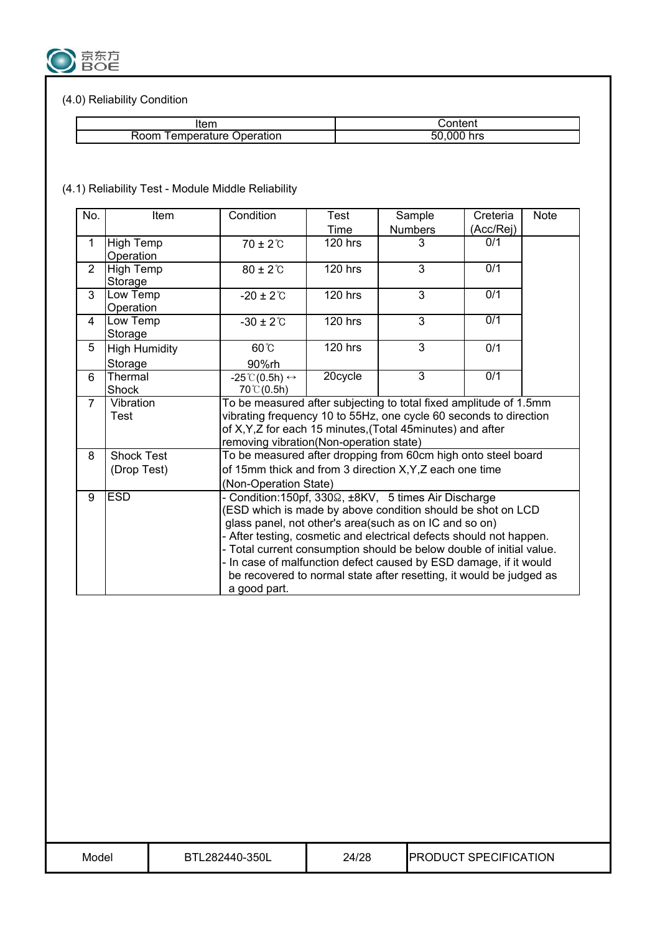

## (4.0) Reliability Condition

| Item            | ;ontent |
|-----------------|---------|
| emperature      | hrs     |
| १००m            | .000 '  |
| <b>Deration</b> | וכי.    |

## (4.1) Reliability Test - Module Middle Reliability

| No.            | Item                             | Condition                                                     | Test                                                                                                                                                                                                                                                                                                                                                                                                                                                                                                    | Sample         | Creteria         | <b>Note</b> |  |
|----------------|----------------------------------|---------------------------------------------------------------|---------------------------------------------------------------------------------------------------------------------------------------------------------------------------------------------------------------------------------------------------------------------------------------------------------------------------------------------------------------------------------------------------------------------------------------------------------------------------------------------------------|----------------|------------------|-------------|--|
|                |                                  |                                                               | Time                                                                                                                                                                                                                                                                                                                                                                                                                                                                                                    | <b>Numbers</b> | (Acc/Rej)        |             |  |
| 1              | High Temp<br>Operation           | $70 \pm 2^{\circ}$ C                                          | <b>120 hrs</b>                                                                                                                                                                                                                                                                                                                                                                                                                                                                                          | 3              | 0/1              |             |  |
| $\overline{2}$ | <b>High Temp</b><br>Storage      | $80 \pm 2^{\circ}$ C                                          | <b>120 hrs</b>                                                                                                                                                                                                                                                                                                                                                                                                                                                                                          | 3              | 0/1              |             |  |
| 3              | Low Temp<br>Operation            | $-20 \pm 2^{\circ}$ C                                         | <b>120 hrs</b>                                                                                                                                                                                                                                                                                                                                                                                                                                                                                          | $\overline{3}$ | 0/1              |             |  |
| 4              | Low Temp<br>Storage              | $-30 \pm 2^{\circ}$ C                                         | <b>120 hrs</b>                                                                                                                                                                                                                                                                                                                                                                                                                                                                                          | 3              | $\overline{0/1}$ |             |  |
| 5              | <b>High Humidity</b><br>Storage  | $60^{\circ}$<br>90%rh                                         | 120 hrs                                                                                                                                                                                                                                                                                                                                                                                                                                                                                                 | $\overline{3}$ | 0/1              |             |  |
| 6              | Thermal<br>Shock                 | $-25^{\circ}$ (0.5h) $\leftrightarrow$<br>$70^{\circ}$ (0.5h) | 20cycle                                                                                                                                                                                                                                                                                                                                                                                                                                                                                                 | $\overline{3}$ | 0/1              |             |  |
| $\overline{7}$ | Vibration<br>Test                |                                                               | To be measured after subjecting to total fixed amplitude of 1.5mm<br>vibrating frequency 10 to 55Hz, one cycle 60 seconds to direction<br>of X, Y, Z for each 15 minutes, (Total 45 minutes) and after<br>removing vibration(Non-operation state)                                                                                                                                                                                                                                                       |                |                  |             |  |
| 8              | <b>Shock Test</b><br>(Drop Test) |                                                               | To be measured after dropping from 60cm high onto steel board<br>of 15mm thick and from 3 direction X, Y, Z each one time                                                                                                                                                                                                                                                                                                                                                                               |                |                  |             |  |
| 9              | <b>ESD</b>                       | a good part.                                                  | (Non-Operation State)<br>Condition: 150pf, 330 $\Omega$ , ±8KV, 5 times Air Discharge<br>(ESD which is made by above condition should be shot on LCD<br>glass panel, not other's area(such as on IC and so on)<br>- After testing, cosmetic and electrical defects should not happen.<br>- Total current consumption should be below double of initial value.<br>In case of malfunction defect caused by ESD damage, if it would<br>be recovered to normal state after resetting, it would be judged as |                |                  |             |  |

| Model | BTL282440-350L | 24/28 | <b>IPRODUCT SPECIFICATION</b> |
|-------|----------------|-------|-------------------------------|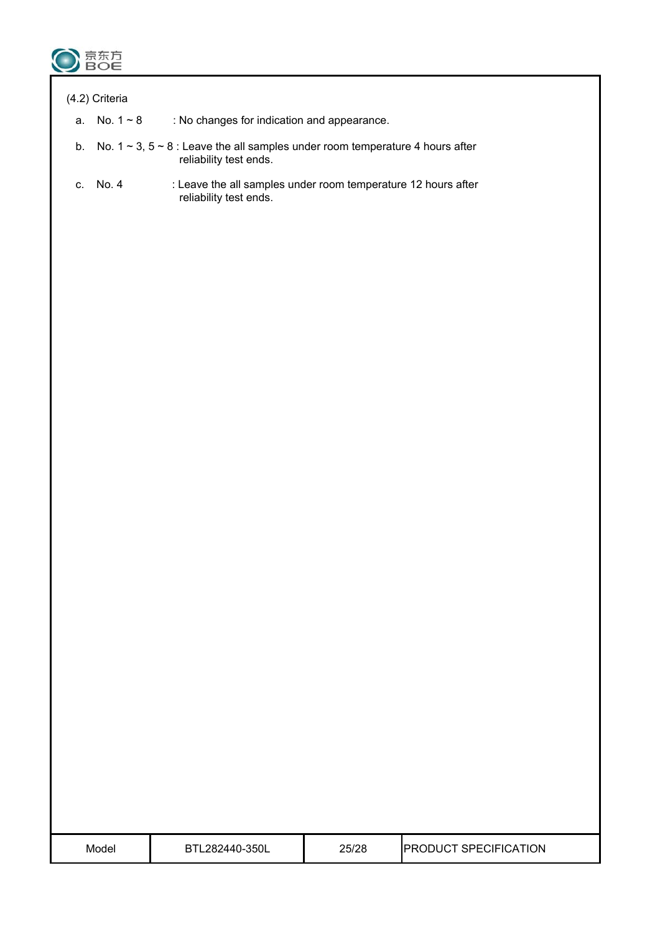

#### (4.2) Criteria

- a. No.  $1 \sim 8$  : No changes for indication and appearance.
- b. No.  $1 \sim 3$ ,  $5 \sim 8$  : Leave the all samples under room temperature 4 hours after reliability test ends.
- c. No. 4 : Leave the all samples under room temperature 12 hours after reliability test ends.

| Model | 350L<br>$282440 -$<br>RTI | 25/28 | <b>PRODUCT SPECIFICATION</b> |
|-------|---------------------------|-------|------------------------------|
|       |                           |       |                              |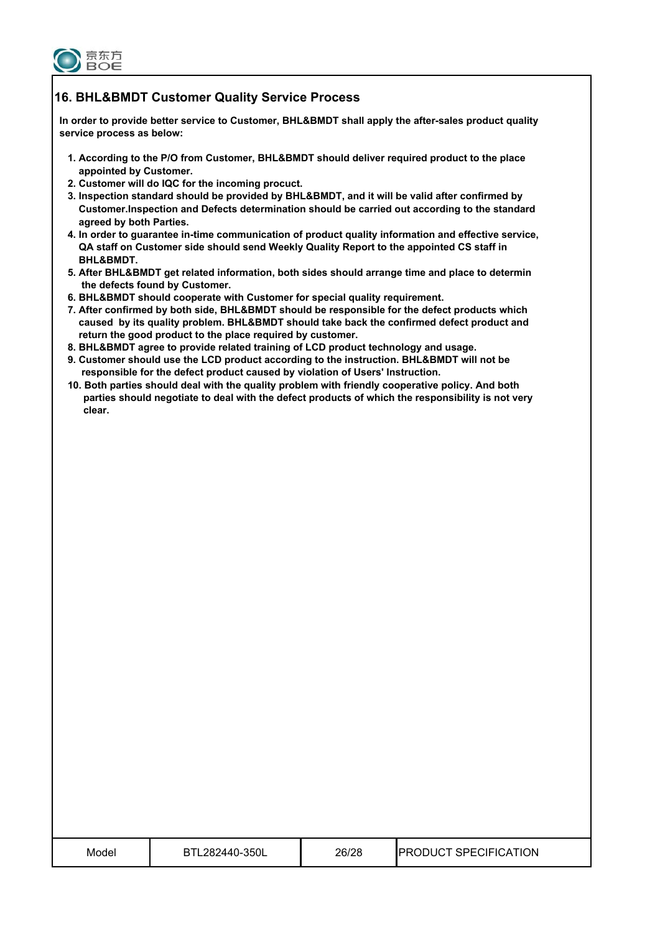

#### **16. BHL&BMDT Customer Quality Service Process**

 **In order to provide better service to Customer, BHL&BMDT shall apply the after-sales product quality service process as below:** 

- **1. According to the P/O from Customer, BHL&BMDT should deliver required product to the place appointed by Customer.**
- **2. Customer will do IQC for the incoming procuct.**
- **3. Inspection standard should be provided by BHL&BMDT, and it will be valid after confirmed by Customer.Inspection and Defects determination should be carried out according to the standard agreed by both Parties.**
- **4. In order to guarantee in-time communication of product quality information and effective service, QA staff on Customer side should send Weekly Quality Report to the appointed CS staff in BHL&BMDT.**
- **5. After BHL&BMDT get related information, both sides should arrange time and place to determin the defects found by Customer.**
- **6. BHL&BMDT should cooperate with Customer for special quality requirement.**
- **7. After confirmed by both side, BHL&BMDT should be responsible for the defect products which caused by its quality problem. BHL&BMDT should take back the confirmed defect product and return the good product to the place required by customer.**
- **8. BHL&BMDT agree to provide related training of LCD product technology and usage.**
- **9. Customer should use the LCD product according to the instruction. BHL&BMDT will not be responsible for the defect product caused by violation of Users' Instruction.**
- **10. Both parties should deal with the quality problem with friendly cooperative policy. And both parties should negotiate to deal with the defect products of which the responsibility is not very clear.**

| Model | 282440-350L | 26/28<br>______ | <b>?ODUCT SPECIFICATION</b><br>PR <sub>(</sub> |
|-------|-------------|-----------------|------------------------------------------------|
|-------|-------------|-----------------|------------------------------------------------|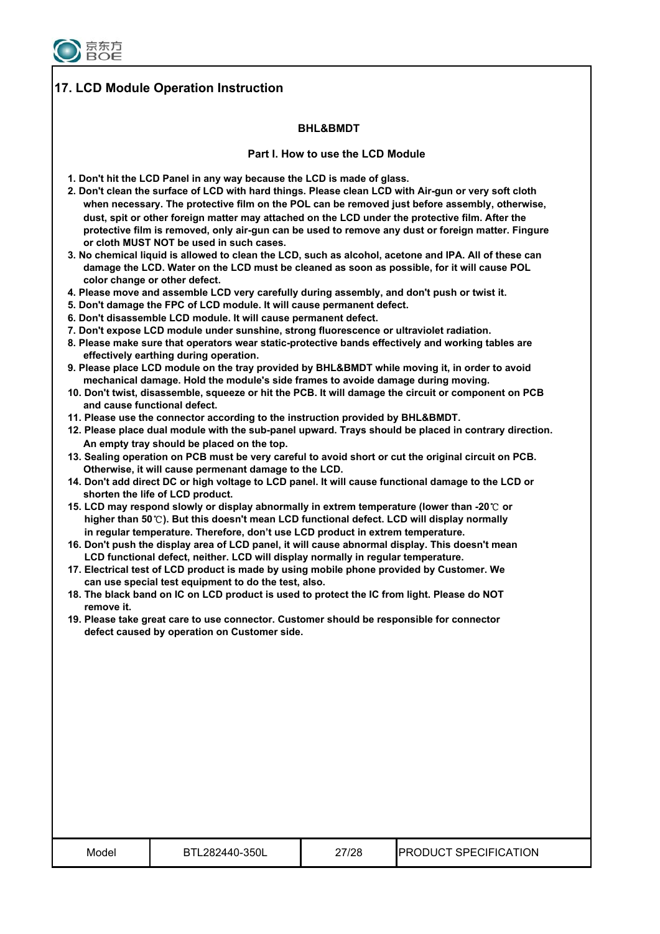

## **17. LCD Module Operation Instruction**

#### **BHL&BMDT**

#### **Part I. How to use the LCD Module**

- **1. Don't hit the LCD Panel in any way because the LCD is made of glass.**
- **2. Don't clean the surface of LCD with hard things. Please clean LCD with Air-gun or very soft cloth when necessary. The protective film on the POL can be removed just before assembly, otherwise, dust, spit or other foreign matter may attached on the LCD under the protective film. After the protective film is removed, only air-gun can be used to remove any dust or foreign matter. Fingure or cloth MUST NOT be used in such cases.**
- **3. No chemical liquid is allowed to clean the LCD, such as alcohol, acetone and IPA. All of these can damage the LCD. Water on the LCD must be cleaned as soon as possible, for it will cause POL color change or other defect.**
- **4. Please move and assemble LCD very carefully during assembly, and don't push or twist it.**
- **5. Don't damage the FPC of LCD module. It will cause permanent defect.**
- **6. Don't disassemble LCD module. It will cause permanent defect.**
- **7. Don't expose LCD module under sunshine, strong fluorescence or ultraviolet radiation.**
- **8. Please make sure that operators wear static-protective bands effectively and working tables are effectively earthing during operation.**
- **9. Please place LCD module on the tray provided by BHL&BMDT while moving it, in order to avoid mechanical damage. Hold the module's side frames to avoide damage during moving.**
- **10. Don't twist, disassemble, squeeze or hit the PCB. It will damage the circuit or component on PCB and cause functional defect.**
- **11. Please use the connector according to the instruction provided by BHL&BMDT.**
- **12. Please place dual module with the sub-panel upward. Trays should be placed in contrary direction. An empty tray should be placed on the top.**
- **13. Sealing operation on PCB must be very careful to avoid short or cut the original circuit on PCB. Otherwise, it will cause permenant damage to the LCD.**
- **14. Don't add direct DC or high voltage to LCD panel. It will cause functional damage to the LCD or shorten the life of LCD product.**
- **15. LCD may respond slowly or display abnormally in extrem temperature (lower than -20**ć **or higher than 50**ć**). But this doesn't mean LCD functional defect. LCD will display normally in regular temperature. Therefore, don't use LCD product in extrem temperature.**
- **16. Don't push the display area of LCD panel, it will cause abnormal display. This doesn't mean LCD functional defect, neither. LCD will display normally in regular temperature.**
- **17. Electrical test of LCD product is made by using mobile phone provided by Customer. We can use special test equipment to do the test, also.**
- **18. The black band on IC on LCD product is used to protect the IC from light. Please do NOT remove it.**
- **19. Please take great care to use connector. Customer should be responsible for connector defect caused by operation on Customer side.**

| Model | BTL282440-350L | 27/28 | <b>PRODUCT SPECIFICATION</b> |
|-------|----------------|-------|------------------------------|